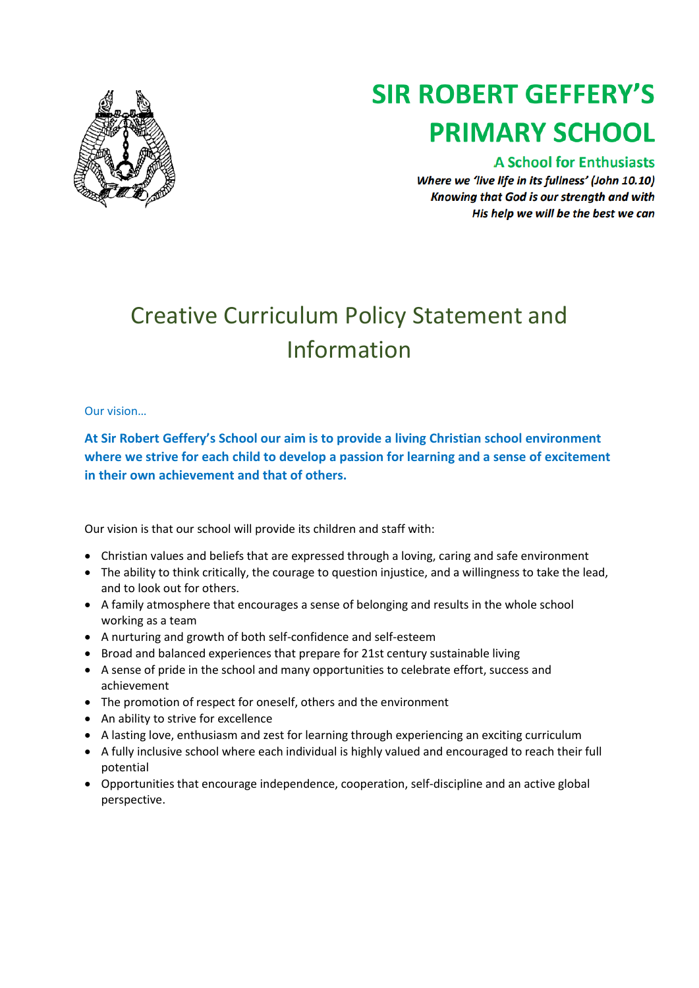

# **SIR ROBERT GEFFERY'S PRIMARY SCHOOL**

# **A School for Enthusiasts**

Where we 'live life in its fullness' (John 10.10) Knowing that God is our strength and with His help we will be the best we can

# Creative Curriculum Policy Statement and Information

# Our vision…

**At Sir Robert Geffery's School our aim is to provide a living Christian school environment where we strive for each child to develop a passion for learning and a sense of excitement in their own achievement and that of others.**

Our vision is that our school will provide its children and staff with:

- Christian values and beliefs that are expressed through a loving, caring and safe environment
- The ability to think critically, the courage to question injustice, and a willingness to take the lead, and to look out for others.
- A family atmosphere that encourages a sense of belonging and results in the whole school working as a team
- A nurturing and growth of both self-confidence and self-esteem
- Broad and balanced experiences that prepare for 21st century sustainable living
- A sense of pride in the school and many opportunities to celebrate effort, success and achievement
- The promotion of respect for oneself, others and the environment
- An ability to strive for excellence
- A lasting love, enthusiasm and zest for learning through experiencing an exciting curriculum
- A fully inclusive school where each individual is highly valued and encouraged to reach their full potential
- Opportunities that encourage independence, cooperation, self-discipline and an active global perspective.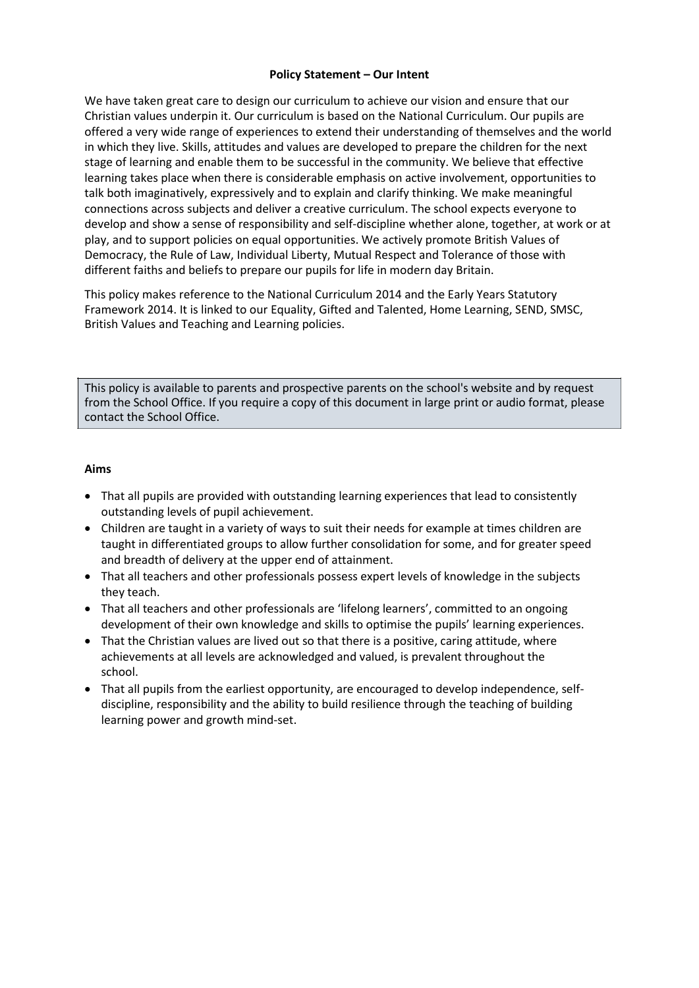#### **Policy Statement – Our Intent**

We have taken great care to design our curriculum to achieve our vision and ensure that our Christian values underpin it. Our curriculum is based on the National Curriculum. Our pupils are offered a very wide range of experiences to extend their understanding of themselves and the world in which they live. Skills, attitudes and values are developed to prepare the children for the next stage of learning and enable them to be successful in the community. We believe that effective learning takes place when there is considerable emphasis on active involvement, opportunities to talk both imaginatively, expressively and to explain and clarify thinking. We make meaningful connections across subjects and deliver a creative curriculum. The school expects everyone to develop and show a sense of responsibility and self-discipline whether alone, together, at work or at play, and to support policies on equal opportunities. We actively promote British Values of Democracy, the Rule of Law, Individual Liberty, Mutual Respect and Tolerance of those with different faiths and beliefs to prepare our pupils for life in modern day Britain.

This policy makes reference to the National Curriculum 2014 and the Early Years Statutory Framework 2014. It is linked to our Equality, Gifted and Talented, Home Learning, SEND, SMSC, British Values and Teaching and Learning policies.

This policy is available to parents and prospective parents on the school's website and by request from the School Office. If you require a copy of this document in large print or audio format, please contact the School Office.

#### **Aims**

- That all pupils are provided with outstanding learning experiences that lead to consistently outstanding levels of pupil achievement.
- Children are taught in a variety of ways to suit their needs for example at times children are taught in differentiated groups to allow further consolidation for some, and for greater speed and breadth of delivery at the upper end of attainment.
- That all teachers and other professionals possess expert levels of knowledge in the subjects they teach.
- That all teachers and other professionals are 'lifelong learners', committed to an ongoing development of their own knowledge and skills to optimise the pupils' learning experiences.
- That the Christian values are lived out so that there is a positive, caring attitude, where achievements at all levels are acknowledged and valued, is prevalent throughout the school.
- That all pupils from the earliest opportunity, are encouraged to develop independence, selfdiscipline, responsibility and the ability to build resilience through the teaching of building learning power and growth mind-set.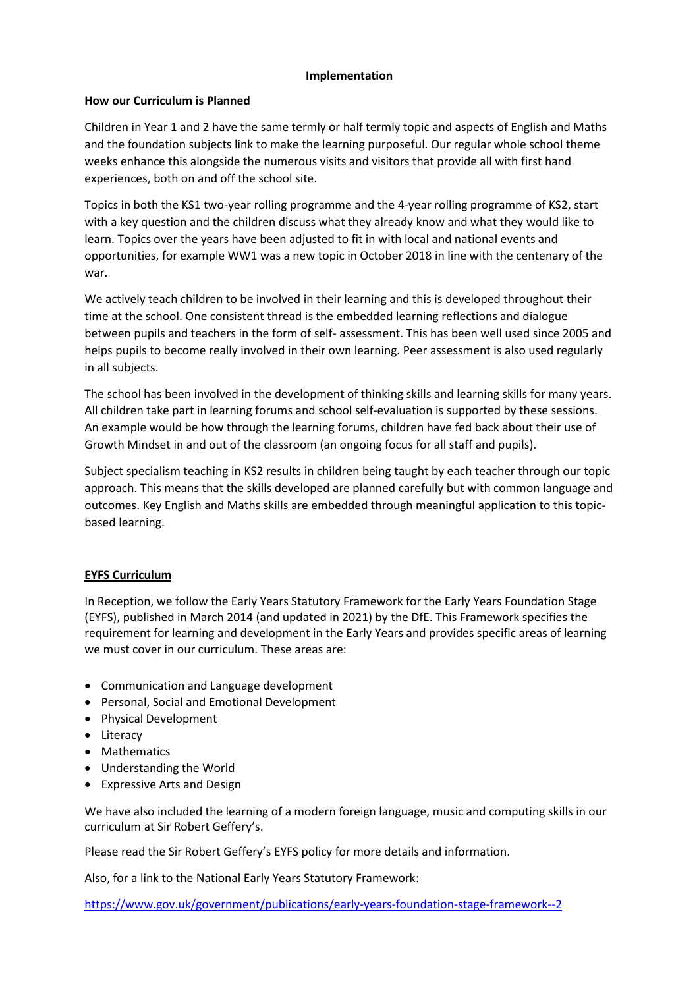#### **Implementation**

# **How our Curriculum is Planned**

Children in Year 1 and 2 have the same termly or half termly topic and aspects of English and Maths and the foundation subjects link to make the learning purposeful. Our regular whole school theme weeks enhance this alongside the numerous visits and visitors that provide all with first hand experiences, both on and off the school site.

Topics in both the KS1 two-year rolling programme and the 4-year rolling programme of KS2, start with a key question and the children discuss what they already know and what they would like to learn. Topics over the years have been adjusted to fit in with local and national events and opportunities, for example WW1 was a new topic in October 2018 in line with the centenary of the war.

We actively teach children to be involved in their learning and this is developed throughout their time at the school. One consistent thread is the embedded learning reflections and dialogue between pupils and teachers in the form of self- assessment. This has been well used since 2005 and helps pupils to become really involved in their own learning. Peer assessment is also used regularly in all subjects.

The school has been involved in the development of thinking skills and learning skills for many years. All children take part in learning forums and school self-evaluation is supported by these sessions. An example would be how through the learning forums, children have fed back about their use of Growth Mindset in and out of the classroom (an ongoing focus for all staff and pupils).

Subject specialism teaching in KS2 results in children being taught by each teacher through our topic approach. This means that the skills developed are planned carefully but with common language and outcomes. Key English and Maths skills are embedded through meaningful application to this topicbased learning.

# **EYFS Curriculum**

In Reception, we follow the Early Years Statutory Framework for the Early Years Foundation Stage (EYFS), published in March 2014 (and updated in 2021) by the DfE. This Framework specifies the requirement for learning and development in the Early Years and provides specific areas of learning we must cover in our curriculum. These areas are:

- Communication and Language development
- Personal, Social and Emotional Development
- Physical Development
- Literacy
- Mathematics
- Understanding the World
- Expressive Arts and Design

We have also included the learning of a modern foreign language, music and computing skills in our curriculum at Sir Robert Geffery's.

Please read the Sir Robert Geffery's EYFS policy for more details and information.

Also, for a link to the National Early Years Statutory Framework:

<https://www.gov.uk/government/publications/early-years-foundation-stage-framework--2>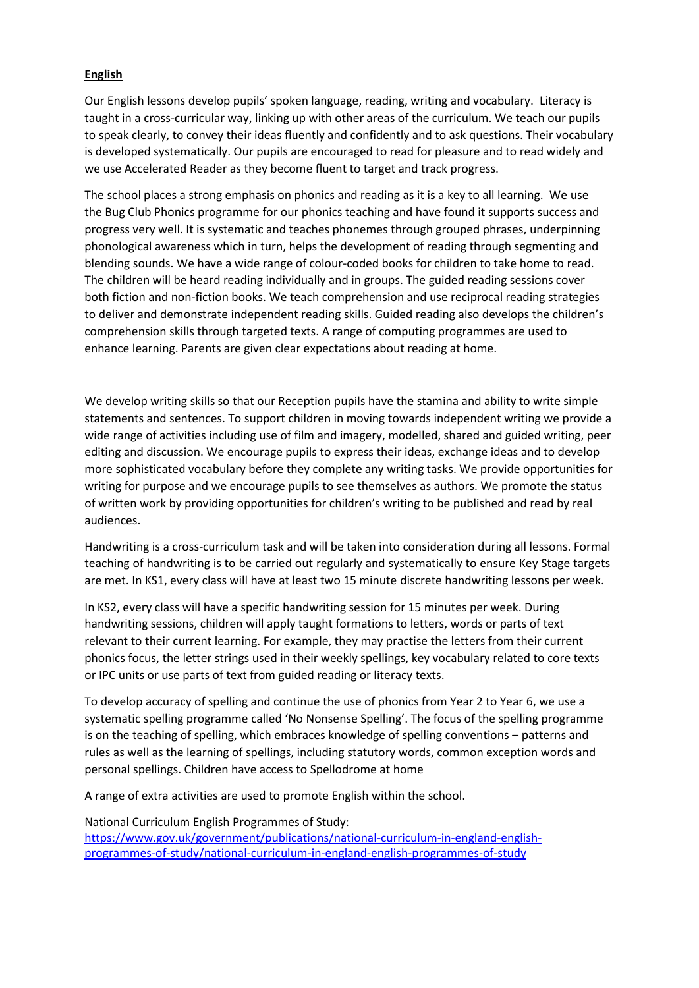# **English**

Our English lessons develop pupils' spoken language, reading, writing and vocabulary. Literacy is taught in a cross-curricular way, linking up with other areas of the curriculum. We teach our pupils to speak clearly, to convey their ideas fluently and confidently and to ask questions. Their vocabulary is developed systematically. Our pupils are encouraged to read for pleasure and to read widely and we use Accelerated Reader as they become fluent to target and track progress.

The school places a strong emphasis on phonics and reading as it is a key to all learning. We use the Bug Club Phonics programme for our phonics teaching and have found it supports success and progress very well. It is systematic and teaches phonemes through grouped phrases, underpinning phonological awareness which in turn, helps the development of reading through segmenting and blending sounds. We have a wide range of colour-coded books for children to take home to read. The children will be heard reading individually and in groups. The guided reading sessions cover both fiction and non-fiction books. We teach comprehension and use reciprocal reading strategies to deliver and demonstrate independent reading skills. Guided reading also develops the children's comprehension skills through targeted texts. A range of computing programmes are used to enhance learning. Parents are given clear expectations about reading at home.

We develop writing skills so that our Reception pupils have the stamina and ability to write simple statements and sentences. To support children in moving towards independent writing we provide a wide range of activities including use of film and imagery, modelled, shared and guided writing, peer editing and discussion. We encourage pupils to express their ideas, exchange ideas and to develop more sophisticated vocabulary before they complete any writing tasks. We provide opportunities for writing for purpose and we encourage pupils to see themselves as authors. We promote the status of written work by providing opportunities for children's writing to be published and read by real audiences.

Handwriting is a cross-curriculum task and will be taken into consideration during all lessons. Formal teaching of handwriting is to be carried out regularly and systematically to ensure Key Stage targets are met. In KS1, every class will have at least two 15 minute discrete handwriting lessons per week.

In KS2, every class will have a specific handwriting session for 15 minutes per week. During handwriting sessions, children will apply taught formations to letters, words or parts of text relevant to their current learning. For example, they may practise the letters from their current phonics focus, the letter strings used in their weekly spellings, key vocabulary related to core texts or IPC units or use parts of text from guided reading or literacy texts.

To develop accuracy of spelling and continue the use of phonics from Year 2 to Year 6, we use a systematic spelling programme called 'No Nonsense Spelling'. The focus of the spelling programme is on the teaching of spelling, which embraces knowledge of spelling conventions – patterns and rules as well as the learning of spellings, including statutory words, common exception words and personal spellings. Children have access to Spellodrome at home

A range of extra activities are used to promote English within the school.

National Curriculum English Programmes of Study: [https://www.gov.uk/government/publications/national-curriculum-in-england-english](https://www.gov.uk/government/publications/national-curriculum-in-england-english-programmes-of-study/national-curriculum-in-england-english-programmes-of-study)[programmes-of-study/national-curriculum-in-england-english-programmes-of-study](https://www.gov.uk/government/publications/national-curriculum-in-england-english-programmes-of-study/national-curriculum-in-england-english-programmes-of-study)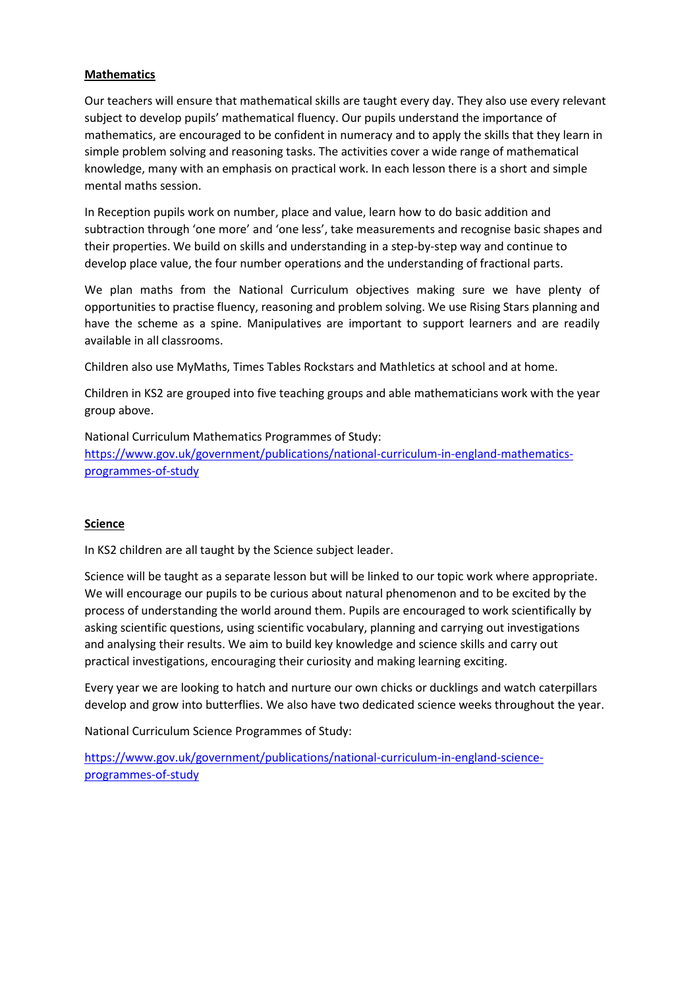#### **Mathematics**

Our teachers will ensure that mathematical skills are taught every day. They also use every relevant subject to develop pupils' mathematical fluency. Our pupils understand the importance of mathematics, are encouraged to be confident in numeracy and to apply the skills that they learn in simple problem solving and reasoning tasks. The activities cover a wide range of mathematical knowledge, many with an emphasis on practical work. In each lesson there is a short and simple mental maths session.

In Reception pupils work on number, place and value, learn how to do basic addition and subtraction through 'one more' and 'one less', take measurements and recognise basic shapes and their properties. We build on skills and understanding in a step-by-step way and continue to develop place value, the four number operations and the understanding of fractional parts.

We plan maths from the National Curriculum objectives making sure we have plenty of opportunities to practise fluency, reasoning and problem solving. We use Rising Stars planning and have the scheme as a spine. Manipulatives are important to support learners and are readily available in all classrooms.

Children also use MyMaths, Times Tables Rockstars and Mathletics at school and at home.

Children in KS2 are grouped into five teaching groups and able mathematicians work with the year group above.

National Curriculum Mathematics Programmes of Study: [https://www.gov.uk/government/publications/national-curriculum-in-england-mathematics](https://www.gov.uk/government/publications/national-curriculum-in-england-mathematics-programmes-of-study)[programmes-of-study](https://www.gov.uk/government/publications/national-curriculum-in-england-mathematics-programmes-of-study)

#### **Science**

In KS2 children are all taught by the Science subject leader.

Science will be taught as a separate lesson but will be linked to our topic work where appropriate. We will encourage our pupils to be curious about natural phenomenon and to be excited by the process of understanding the world around them. Pupils are encouraged to work scientifically by asking scientific questions, using scientific vocabulary, planning and carrying out investigations and analysing their results. We aim to build key knowledge and science skills and carry out practical investigations, encouraging their curiosity and making learning exciting.

Every year we are looking to hatch and nurture our own chicks or ducklings and watch caterpillars develop and grow into butterflies. We also have two dedicated science weeks throughout the year.

National Curriculum Science Programmes of Study:

[https://www.gov.uk/government/publications/national-curriculum-in-england-science](https://www.gov.uk/government/publications/national-curriculum-in-england-science-programmes-of-study)[programmes-of-study](https://www.gov.uk/government/publications/national-curriculum-in-england-science-programmes-of-study)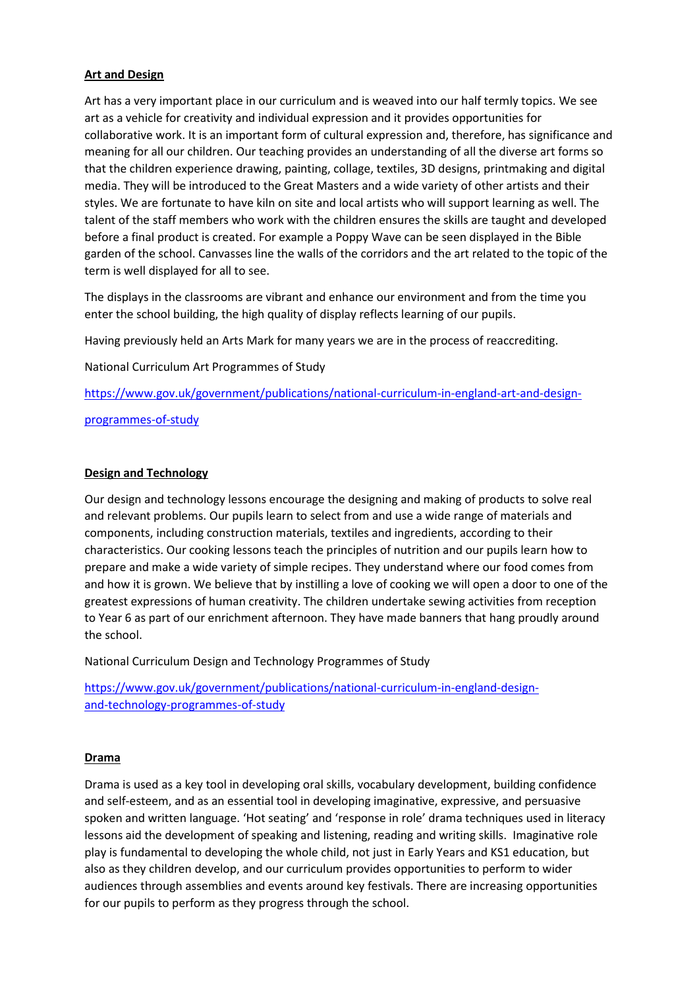# **Art and Design**

Art has a very important place in our curriculum and is weaved into our half termly topics. We see art as a vehicle for creativity and individual expression and it provides opportunities for collaborative work. It is an important form of cultural expression and, therefore, has significance and meaning for all our children. Our teaching provides an understanding of all the diverse art forms so that the children experience drawing, painting, collage, textiles, 3D designs, printmaking and digital media. They will be introduced to the Great Masters and a wide variety of other artists and their styles. We are fortunate to have kiln on site and local artists who will support learning as well. The talent of the staff members who work with the children ensures the skills are taught and developed before a final product is created. For example a Poppy Wave can be seen displayed in the Bible garden of the school. Canvasses line the walls of the corridors and the art related to the topic of the term is well displayed for all to see.

The displays in the classrooms are vibrant and enhance our environment and from the time you enter the school building, the high quality of display reflects learning of our pupils.

Having previously held an Arts Mark for many years we are in the process of reaccrediting.

National Curriculum Art Programmes of Study

[https://www.gov.uk/government/publications/national-curriculum-in-england-art-and-design-](https://www.gov.uk/government/publications/national-curriculum-in-england-art-and-design-programmes-of-study)

[programmes-of-study](https://www.gov.uk/government/publications/national-curriculum-in-england-art-and-design-programmes-of-study)

#### **Design and Technology**

Our design and technology lessons encourage the designing and making of products to solve real and relevant problems. Our pupils learn to select from and use a wide range of materials and components, including construction materials, textiles and ingredients, according to their characteristics. Our cooking lessons teach the principles of nutrition and our pupils learn how to prepare and make a wide variety of simple recipes. They understand where our food comes from and how it is grown. We believe that by instilling a love of cooking we will open a door to one of the greatest expressions of human creativity. The children undertake sewing activities from reception to Year 6 as part of our enrichment afternoon. They have made banners that hang proudly around the school.

National Curriculum Design and Technology Programmes of Study

[https://www.gov.uk/government/publications/national-curriculum-in-england-design](https://www.gov.uk/government/publications/national-curriculum-in-england-design-and-technology-programmes-of-study)[and-technology-programmes-of-study](https://www.gov.uk/government/publications/national-curriculum-in-england-design-and-technology-programmes-of-study)

#### **Drama**

Drama is used as a key tool in developing oral skills, vocabulary development, building confidence and self-esteem, and as an essential tool in developing imaginative, expressive, and persuasive spoken and written language. 'Hot seating' and 'response in role' drama techniques used in literacy lessons aid the development of speaking and listening, reading and writing skills. Imaginative role play is fundamental to developing the whole child, not just in Early Years and KS1 education, but also as they children develop, and our curriculum provides opportunities to perform to wider audiences through assemblies and events around key festivals. There are increasing opportunities for our pupils to perform as they progress through the school.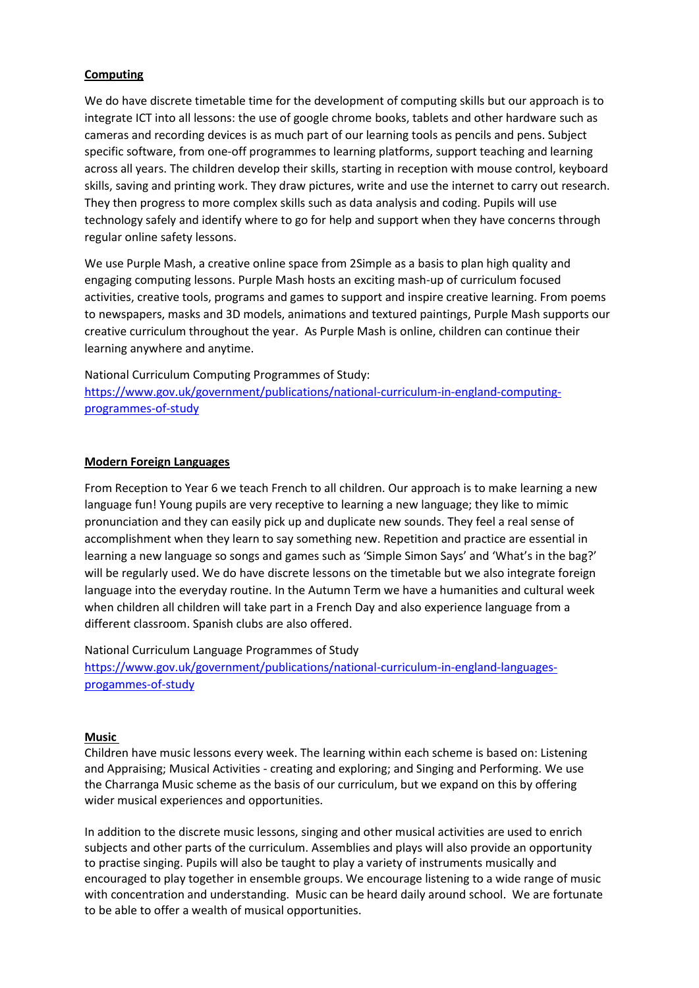# **Computing**

We do have discrete timetable time for the development of computing skills but our approach is to integrate ICT into all lessons: the use of google chrome books, tablets and other hardware such as cameras and recording devices is as much part of our learning tools as pencils and pens. Subject specific software, from one-off programmes to learning platforms, support teaching and learning across all years. The children develop their skills, starting in reception with mouse control, keyboard skills, saving and printing work. They draw pictures, write and use the internet to carry out research. They then progress to more complex skills such as data analysis and coding. Pupils will use technology safely and identify where to go for help and support when they have concerns through regular online safety lessons.

We use Purple Mash, a creative online space from 2Simple as a basis to plan high quality and engaging computing lessons. Purple Mash hosts an exciting mash-up of curriculum focused activities, creative tools, programs and games to support and inspire creative learning. From poems to newspapers, masks and 3D models, animations and textured paintings, Purple Mash supports our creative curriculum throughout the year. As Purple Mash is online, children can continue their learning anywhere and anytime.

National Curriculum Computing Programmes of Study: [https://www.gov.uk/government/publications/national-curriculum-in-england-computing](https://www.gov.uk/government/publications/national-curriculum-in-england-computing-programmes-of-study)[programmes-of-study](https://www.gov.uk/government/publications/national-curriculum-in-england-computing-programmes-of-study)

#### **Modern Foreign Languages**

From Reception to Year 6 we teach French to all children. Our approach is to make learning a new language fun! Young pupils are very receptive to learning a new language; they like to mimic pronunciation and they can easily pick up and duplicate new sounds. They feel a real sense of accomplishment when they learn to say something new. Repetition and practice are essential in learning a new language so songs and games such as 'Simple Simon Says' and 'What's in the bag?' will be regularly used. We do have discrete lessons on the timetable but we also integrate foreign language into the everyday routine. In the Autumn Term we have a humanities and cultural week when children all children will take part in a French Day and also experience language from a different classroom. Spanish clubs are also offered.

National Curriculum Language Programmes of Study [https://www.gov.uk/government/publications/national-curriculum-in-england-languages](https://www.gov.uk/government/publications/national-curriculum-in-england-languages-progammes-of-study)[progammes-of-study](https://www.gov.uk/government/publications/national-curriculum-in-england-languages-progammes-of-study)

#### **Music**

Children have music lessons every week. The learning within each scheme is based on: Listening and Appraising; Musical Activities - creating and exploring; and Singing and Performing. We use the Charranga Music scheme as the basis of our curriculum, but we expand on this by offering wider musical experiences and opportunities.

In addition to the discrete music lessons, singing and other musical activities are used to enrich subjects and other parts of the curriculum. Assemblies and plays will also provide an opportunity to practise singing. Pupils will also be taught to play a variety of instruments musically and encouraged to play together in ensemble groups. We encourage listening to a wide range of music with concentration and understanding. Music can be heard daily around school. We are fortunate to be able to offer a wealth of musical opportunities.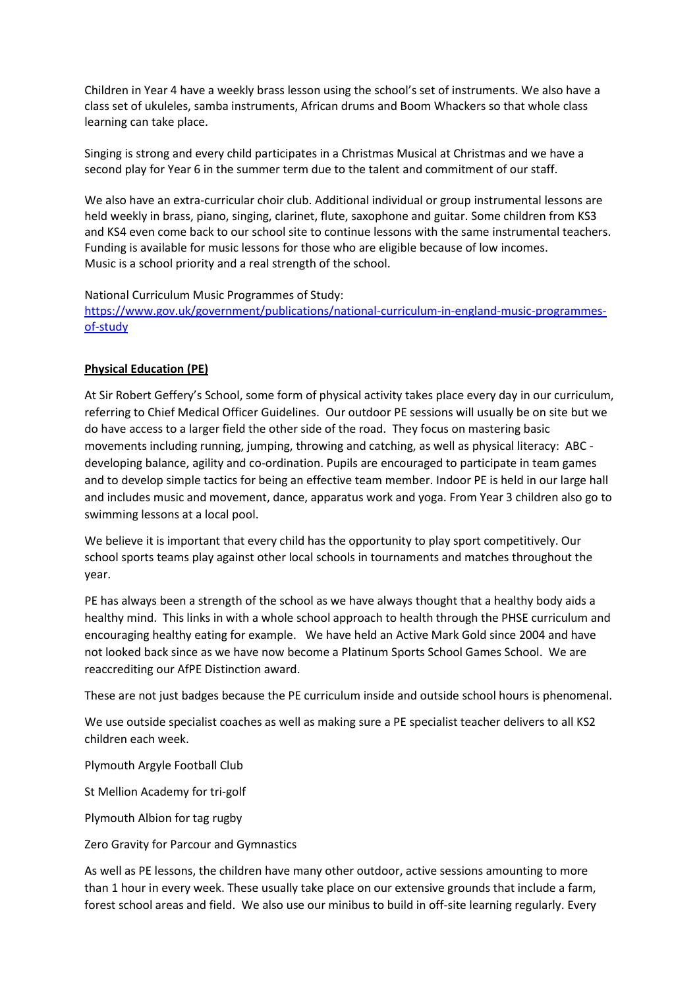Children in Year 4 have a weekly brass lesson using the school's set of instruments. We also have a class set of ukuleles, samba instruments, African drums and Boom Whackers so that whole class learning can take place.

Singing is strong and every child participates in a Christmas Musical at Christmas and we have a second play for Year 6 in the summer term due to the talent and commitment of our staff.

We also have an extra-curricular choir club. Additional individual or group instrumental lessons are held weekly in brass, piano, singing, clarinet, flute, saxophone and guitar. Some children from KS3 and KS4 even come back to our school site to continue lessons with the same instrumental teachers. Funding is available for music lessons for those who are eligible because of low incomes. Music is a school priority and a real strength of the school.

National Curriculum Music Programmes of Study:

[https://www.gov.uk/government/publications/national-curriculum-in-england-music-programmes](https://www.gov.uk/government/publications/national-curriculum-in-england-music-programmes-of-study)[of-study](https://www.gov.uk/government/publications/national-curriculum-in-england-music-programmes-of-study)

# **Physical Education (PE)**

At Sir Robert Geffery's School, some form of physical activity takes place every day in our curriculum, referring to Chief Medical Officer Guidelines. Our outdoor PE sessions will usually be on site but we do have access to a larger field the other side of the road. They focus on mastering basic movements including running, jumping, throwing and catching, as well as physical literacy: ABC developing balance, agility and co-ordination. Pupils are encouraged to participate in team games and to develop simple tactics for being an effective team member. Indoor PE is held in our large hall and includes music and movement, dance, apparatus work and yoga. From Year 3 children also go to swimming lessons at a local pool.

We believe it is important that every child has the opportunity to play sport competitively. Our school sports teams play against other local schools in tournaments and matches throughout the year.

PE has always been a strength of the school as we have always thought that a healthy body aids a healthy mind. This links in with a whole school approach to health through the PHSE curriculum and encouraging healthy eating for example. We have held an Active Mark Gold since 2004 and have not looked back since as we have now become a Platinum Sports School Games School. We are reaccrediting our AfPE Distinction award.

These are not just badges because the PE curriculum inside and outside school hours is phenomenal.

We use outside specialist coaches as well as making sure a PE specialist teacher delivers to all KS2 children each week.

Plymouth Argyle Football Club

St Mellion Academy for tri-golf

Plymouth Albion for tag rugby

Zero Gravity for Parcour and Gymnastics

As well as PE lessons, the children have many other outdoor, active sessions amounting to more than 1 hour in every week. These usually take place on our extensive grounds that include a farm, forest school areas and field. We also use our minibus to build in off-site learning regularly. Every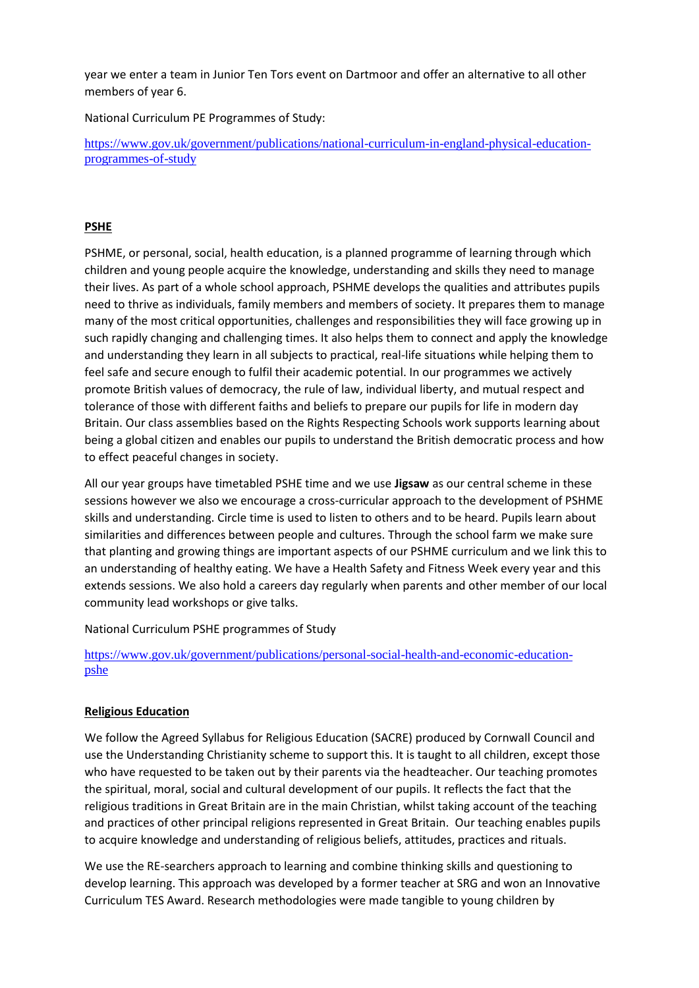year we enter a team in Junior Ten Tors event on Dartmoor and offer an alternative to all other members of year 6.

National Curriculum PE Programmes of Study:

[https://www.gov.uk/government/publications/national-curriculum-in-england-physical-education](https://www.gov.uk/government/publications/national-curriculum-in-england-physical-education-programmes-of-study)[programmes-of-study](https://www.gov.uk/government/publications/national-curriculum-in-england-physical-education-programmes-of-study)

# **PSHE**

PSHME, or personal, social, health education, is a planned programme of learning through which children and young people acquire the knowledge, understanding and skills they need to manage their lives. As part of a whole school approach, PSHME develops the qualities and attributes pupils need to thrive as individuals, family members and members of society. It prepares them to manage many of the most critical opportunities, challenges and responsibilities they will face growing up in such rapidly changing and challenging times. It also helps them to connect and apply the knowledge and understanding they learn in all subjects to practical, real-life situations while helping them to feel safe and secure enough to fulfil their academic potential. In our programmes we actively promote British values of democracy, the rule of law, individual liberty, and mutual respect and tolerance of those with different faiths and beliefs to prepare our pupils for life in modern day Britain. Our class assemblies based on the Rights Respecting Schools work supports learning about being a global citizen and enables our pupils to understand the British democratic process and how to effect peaceful changes in society.

All our year groups have timetabled PSHE time and we use **Jigsaw** as our central scheme in these sessions however we also we encourage a cross-curricular approach to the development of PSHME skills and understanding. Circle time is used to listen to others and to be heard. Pupils learn about similarities and differences between people and cultures. Through the school farm we make sure that planting and growing things are important aspects of our PSHME curriculum and we link this to an understanding of healthy eating. We have a Health Safety and Fitness Week every year and this extends sessions. We also hold a careers day regularly when parents and other member of our local community lead workshops or give talks.

National Curriculum PSHE programmes of Study

[https://www.gov.uk/government/publications/personal-social-health-and-economic-education](https://www.gov.uk/government/publications/personal-social-health-and-economic-education-pshe)[pshe](https://www.gov.uk/government/publications/personal-social-health-and-economic-education-pshe)

#### **Religious Education**

We follow the Agreed Syllabus for Religious Education (SACRE) produced by Cornwall Council and use the Understanding Christianity scheme to support this. It is taught to all children, except those who have requested to be taken out by their parents via the headteacher. Our teaching promotes the spiritual, moral, social and cultural development of our pupils. It reflects the fact that the religious traditions in Great Britain are in the main Christian, whilst taking account of the teaching and practices of other principal religions represented in Great Britain. Our teaching enables pupils to acquire knowledge and understanding of religious beliefs, attitudes, practices and rituals.

We use the RE-searchers approach to learning and combine thinking skills and questioning to develop learning. This approach was developed by a former teacher at SRG and won an Innovative Curriculum TES Award. Research methodologies were made tangible to young children by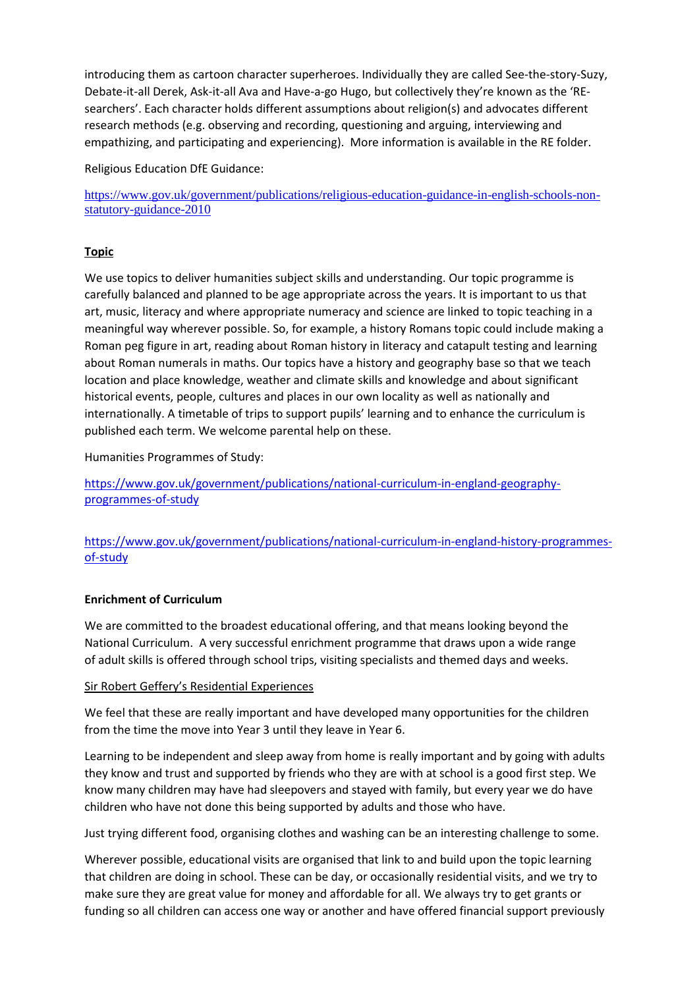introducing them as cartoon character superheroes. Individually they are called See-the-story-Suzy, Debate-it-all Derek, Ask-it-all Ava and Have-a-go Hugo, but collectively they're known as the 'REsearchers'. Each character holds different assumptions about religion(s) and advocates different research methods (e.g. observing and recording, questioning and arguing, interviewing and empathizing, and participating and experiencing). More information is available in the RE folder.

Religious Education DfE Guidance:

[https://www.gov.uk/government/publications/religious-education-guidance-in-english-schools-non](https://www.gov.uk/government/publications/religious-education-guidance-in-english-schools-non-statutory-guidance-2010)[statutory-guidance-2010](https://www.gov.uk/government/publications/religious-education-guidance-in-english-schools-non-statutory-guidance-2010)

# **Topic**

We use topics to deliver humanities subject skills and understanding. Our topic programme is carefully balanced and planned to be age appropriate across the years. It is important to us that art, music, literacy and where appropriate numeracy and science are linked to topic teaching in a meaningful way wherever possible. So, for example, a history Romans topic could include making a Roman peg figure in art, reading about Roman history in literacy and catapult testing and learning about Roman numerals in maths. Our topics have a history and geography base so that we teach location and place knowledge, weather and climate skills and knowledge and about significant historical events, people, cultures and places in our own locality as well as nationally and internationally. A timetable of trips to support pupils' learning and to enhance the curriculum is published each term. We welcome parental help on these.

Humanities Programmes of Study:

[https://www.gov.uk/government/publications/national-curriculum-in-england-geography](https://www.gov.uk/government/publications/national-curriculum-in-england-geography-programmes-of-study)[programmes-of-study](https://www.gov.uk/government/publications/national-curriculum-in-england-geography-programmes-of-study)

[https://www.gov.uk/government/publications/national-curriculum-in-england-history-programmes](https://www.gov.uk/government/publications/national-curriculum-in-england-history-programmes-of-study)[of-study](https://www.gov.uk/government/publications/national-curriculum-in-england-history-programmes-of-study)

#### **Enrichment of Curriculum**

We are committed to the broadest educational offering, and that means looking beyond the National Curriculum. A very successful enrichment programme that draws upon a wide range of adult skills is offered through school trips, visiting specialists and themed days and weeks.

#### Sir Robert Geffery's Residential Experiences

We feel that these are really important and have developed many opportunities for the children from the time the move into Year 3 until they leave in Year 6.

Learning to be independent and sleep away from home is really important and by going with adults they know and trust and supported by friends who they are with at school is a good first step. We know many children may have had sleepovers and stayed with family, but every year we do have children who have not done this being supported by adults and those who have.

Just trying different food, organising clothes and washing can be an interesting challenge to some.

Wherever possible, educational visits are organised that link to and build upon the topic learning that children are doing in school. These can be day, or occasionally residential visits, and we try to make sure they are great value for money and affordable for all. We always try to get grants or funding so all children can access one way or another and have offered financial support previously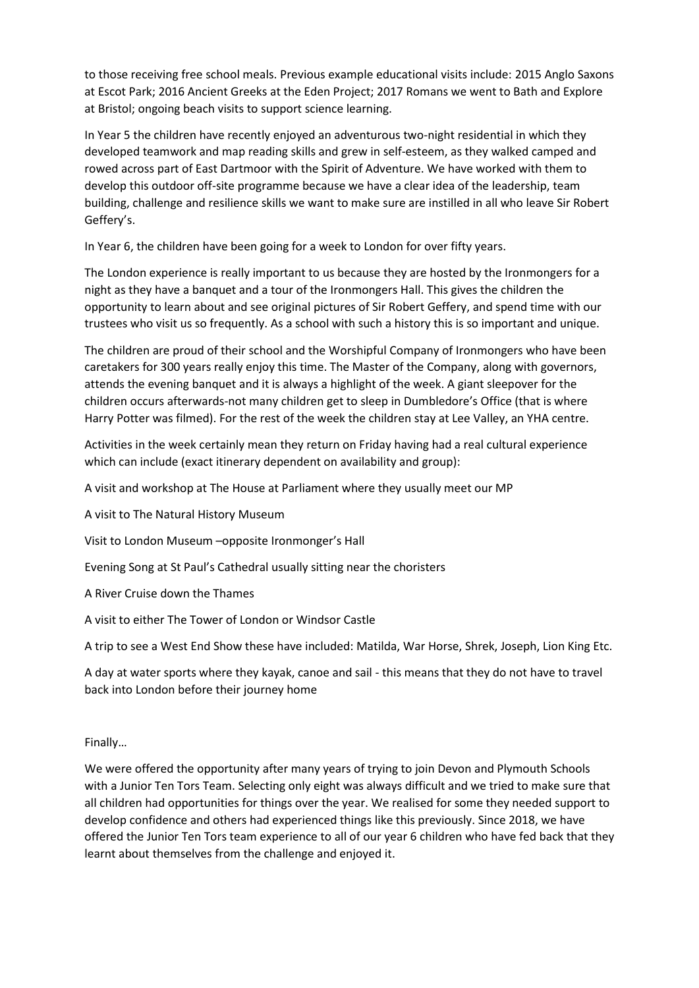to those receiving free school meals. Previous example educational visits include: 2015 Anglo Saxons at Escot Park; 2016 Ancient Greeks at the Eden Project; 2017 Romans we went to Bath and Explore at Bristol; ongoing beach visits to support science learning.

In Year 5 the children have recently enjoyed an adventurous two-night residential in which they developed teamwork and map reading skills and grew in self-esteem, as they walked camped and rowed across part of East Dartmoor with the Spirit of Adventure. We have worked with them to develop this outdoor off-site programme because we have a clear idea of the leadership, team building, challenge and resilience skills we want to make sure are instilled in all who leave Sir Robert Geffery's.

In Year 6, the children have been going for a week to London for over fifty years.

The London experience is really important to us because they are hosted by the Ironmongers for a night as they have a banquet and a tour of the Ironmongers Hall. This gives the children the opportunity to learn about and see original pictures of Sir Robert Geffery, and spend time with our trustees who visit us so frequently. As a school with such a history this is so important and unique.

The children are proud of their school and the Worshipful Company of Ironmongers who have been caretakers for 300 years really enjoy this time. The Master of the Company, along with governors, attends the evening banquet and it is always a highlight of the week. A giant sleepover for the children occurs afterwards-not many children get to sleep in Dumbledore's Office (that is where Harry Potter was filmed). For the rest of the week the children stay at Lee Valley, an YHA centre.

Activities in the week certainly mean they return on Friday having had a real cultural experience which can include (exact itinerary dependent on availability and group):

A visit and workshop at The House at Parliament where they usually meet our MP

A visit to The Natural History Museum

Visit to London Museum –opposite Ironmonger's Hall

Evening Song at St Paul's Cathedral usually sitting near the choristers

A River Cruise down the Thames

A visit to either The Tower of London or Windsor Castle

A trip to see a West End Show these have included: Matilda, War Horse, Shrek, Joseph, Lion King Etc.

A day at water sports where they kayak, canoe and sail - this means that they do not have to travel back into London before their journey home

Finally…

We were offered the opportunity after many years of trying to join Devon and Plymouth Schools with a Junior Ten Tors Team. Selecting only eight was always difficult and we tried to make sure that all children had opportunities for things over the year. We realised for some they needed support to develop confidence and others had experienced things like this previously. Since 2018, we have offered the Junior Ten Tors team experience to all of our year 6 children who have fed back that they learnt about themselves from the challenge and enjoyed it.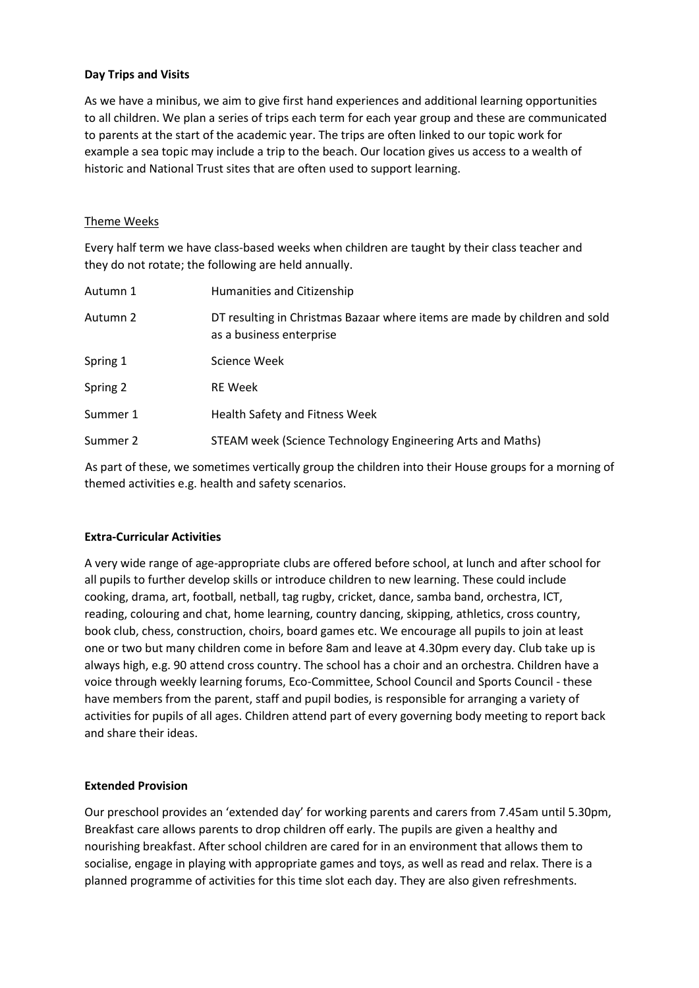# **Day Trips and Visits**

As we have a minibus, we aim to give first hand experiences and additional learning opportunities to all children. We plan a series of trips each term for each year group and these are communicated to parents at the start of the academic year. The trips are often linked to our topic work for example a sea topic may include a trip to the beach. Our location gives us access to a wealth of historic and National Trust sites that are often used to support learning.

#### Theme Weeks

Every half term we have class-based weeks when children are taught by their class teacher and they do not rotate; the following are held annually.

| Autumn 1 | Humanities and Citizenship                                                                             |
|----------|--------------------------------------------------------------------------------------------------------|
| Autumn 2 | DT resulting in Christmas Bazaar where items are made by children and sold<br>as a business enterprise |
| Spring 1 | Science Week                                                                                           |
| Spring 2 | <b>RE</b> Week                                                                                         |
| Summer 1 | Health Safety and Fitness Week                                                                         |
| Summer 2 | STEAM week (Science Technology Engineering Arts and Maths)                                             |

 As part of these, we sometimes vertically group the children into their House groups for a morning of themed activities e.g. health and safety scenarios.

#### **Extra-Curricular Activities**

A very wide range of age-appropriate clubs are offered before school, at lunch and after school for all pupils to further develop skills or introduce children to new learning. These could include cooking, drama, art, football, netball, tag rugby, cricket, dance, samba band, orchestra, ICT, reading, colouring and chat, home learning, country dancing, skipping, athletics, cross country, book club, chess, construction, choirs, board games etc. We encourage all pupils to join at least one or two but many children come in before 8am and leave at 4.30pm every day. Club take up is always high, e.g. 90 attend cross country. The school has a choir and an orchestra. Children have a voice through weekly learning forums, Eco-Committee, School Council and Sports Council - these have members from the parent, staff and pupil bodies, is responsible for arranging a variety of activities for pupils of all ages. Children attend part of every governing body meeting to report back and share their ideas.

#### **Extended Provision**

Our preschool provides an 'extended day' for working parents and carers from 7.45am until 5.30pm, Breakfast care allows parents to drop children off early. The pupils are given a healthy and nourishing breakfast. After school children are cared for in an environment that allows them to socialise, engage in playing with appropriate games and toys, as well as read and relax. There is a planned programme of activities for this time slot each day. They are also given refreshments.